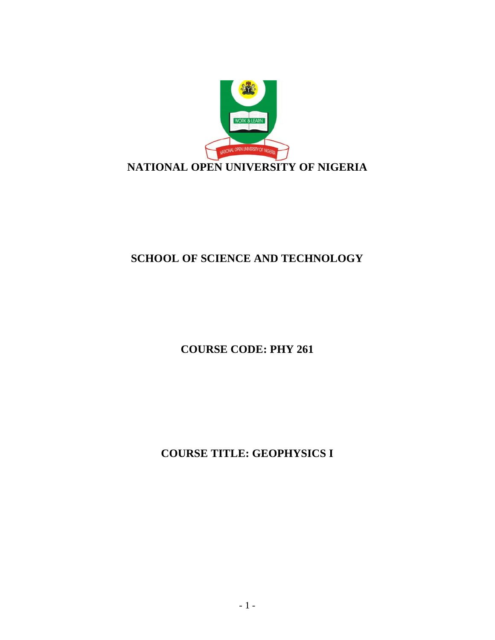

# **SCHOOL OF SCIENCE AND TECHNOLOGY**

**COURSE CODE: PHY 261**

**COURSE TITLE: GEOPHYSICS I**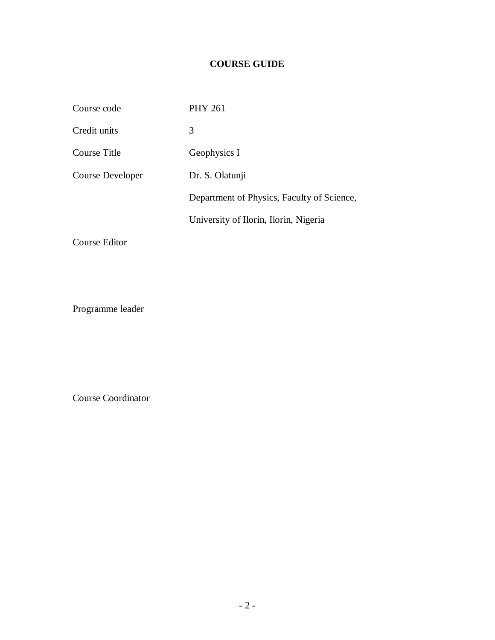# **COURSE GUIDE**

| Course code      | <b>PHY 261</b>                             |
|------------------|--------------------------------------------|
| Credit units     | 3                                          |
| Course Title     | Geophysics I                               |
| Course Developer | Dr. S. Olatunji                            |
|                  | Department of Physics, Faculty of Science, |
|                  | University of Ilorin, Ilorin, Nigeria      |
|                  |                                            |

Course Editor

Programme leader

Course Coordinator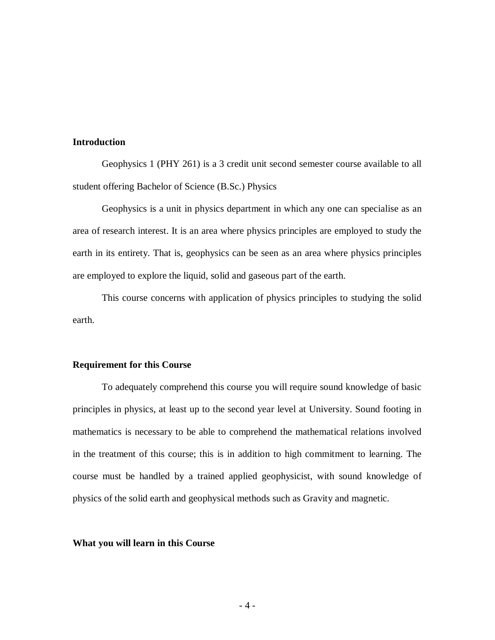# **Introduction**

Geophysics 1 (PHY 261) is a 3 credit unit second semester course available to all student offering Bachelor of Science (B.Sc.) Physics

Geophysics is a unit in physics department in which any one can specialise as an area of research interest. It is an area where physics principles are employed to study the earth in its entirety. That is, geophysics can be seen as an area where physics principles are employed to explore the liquid, solid and gaseous part of the earth.

This course concerns with application of physics principles to studying the solid earth.

### **Requirement for this Course**

To adequately comprehend this course you will require sound knowledge of basic principles in physics, at least up to the second year level at University. Sound footing in mathematics is necessary to be able to comprehend the mathematical relations involved in the treatment of this course; this is in addition to high commitment to learning. The course must be handled by a trained applied geophysicist, with sound knowledge of physics of the solid earth and geophysical methods such as Gravity and magnetic.

#### **What you will learn in this Course**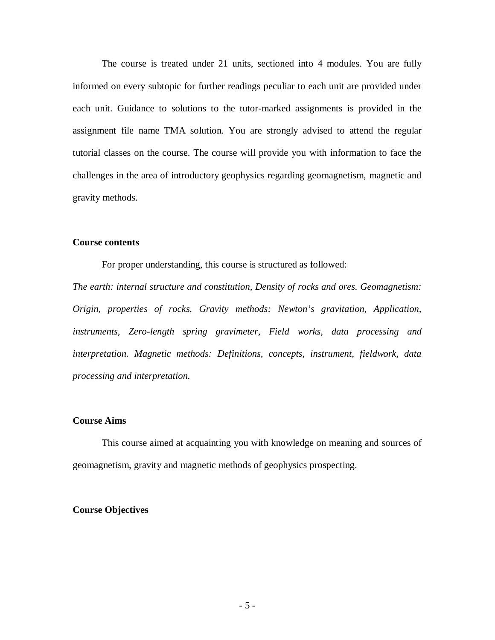The course is treated under 21 units, sectioned into 4 modules. You are fully informed on every subtopic for further readings peculiar to each unit are provided under each unit. Guidance to solutions to the tutor-marked assignments is provided in the assignment file name TMA solution. You are strongly advised to attend the regular tutorial classes on the course. The course will provide you with information to face the challenges in the area of introductory geophysics regarding geomagnetism, magnetic and gravity methods.

### **Course contents**

For proper understanding, this course is structured as followed:

*The earth: internal structure and constitution, Density of rocks and ores. Geomagnetism: Origin, properties of rocks. Gravity methods: Newton's gravitation, Application, instruments, Zero-length spring gravimeter, Field works, data processing and interpretation. Magnetic methods: Definitions, concepts, instrument, fieldwork, data processing and interpretation.*

#### **Course Aims**

This course aimed at acquainting you with knowledge on meaning and sources of geomagnetism, gravity and magnetic methods of geophysics prospecting.

#### **Course Objectives**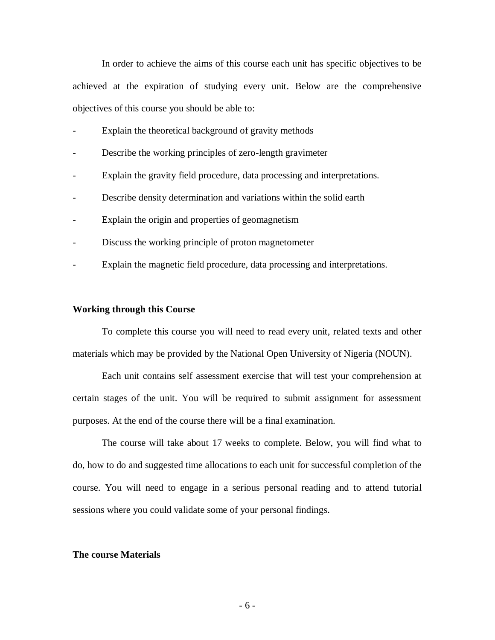In order to achieve the aims of this course each unit has specific objectives to be achieved at the expiration of studying every unit. Below are the comprehensive objectives of this course you should be able to:

- Explain the theoretical background of gravity methods
- Describe the working principles of zero-length gravimeter
- Explain the gravity field procedure, data processing and interpretations.
- Describe density determination and variations within the solid earth
- Explain the origin and properties of geomagnetism
- Discuss the working principle of proton magnetometer
- Explain the magnetic field procedure, data processing and interpretations.

#### **Working through this Course**

To complete this course you will need to read every unit, related texts and other materials which may be provided by the National Open University of Nigeria (NOUN).

Each unit contains self assessment exercise that will test your comprehension at certain stages of the unit. You will be required to submit assignment for assessment purposes. At the end of the course there will be a final examination.

The course will take about 17 weeks to complete. Below, you will find what to do, how to do and suggested time allocations to each unit for successful completion of the course. You will need to engage in a serious personal reading and to attend tutorial sessions where you could validate some of your personal findings.

#### **The course Materials**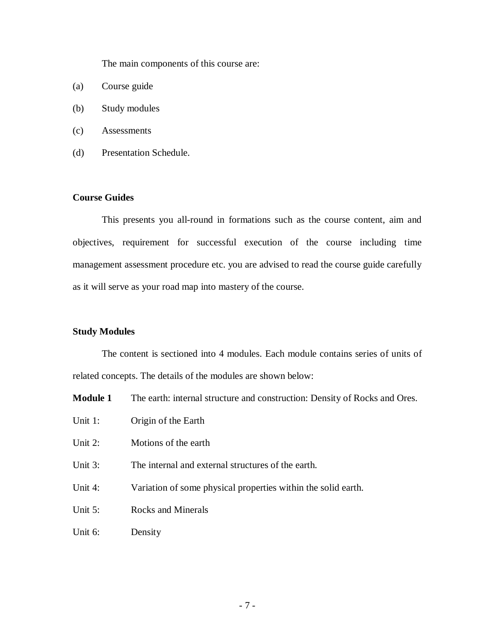The main components of this course are:

- (a) Course guide
- (b) Study modules
- (c) Assessments
- (d) Presentation Schedule.

# **Course Guides**

This presents you all-round in formations such as the course content, aim and objectives, requirement for successful execution of the course including time management assessment procedure etc. you are advised to read the course guide carefully as it will serve as your road map into mastery of the course.

#### **Study Modules**

The content is sectioned into 4 modules. Each module contains series of units of related concepts. The details of the modules are shown below:

**Module 1** The earth: internal structure and construction: Density of Rocks and Ores.

- Unit 1: Origin of the Earth
- Unit 2: Motions of the earth
- Unit 3: The internal and external structures of the earth.
- Unit 4: Variation of some physical properties within the solid earth.
- Unit 5: Rocks and Minerals
- Unit 6: Density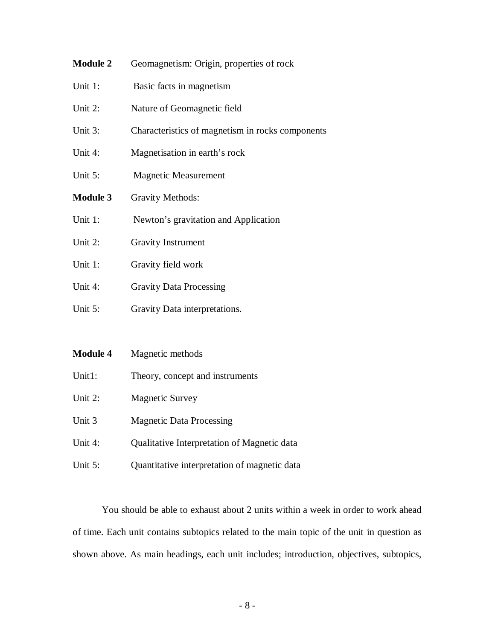- **Module 2** Geomagnetism: Origin, properties of rock
- Unit 1: Basic facts in magnetism
- Unit 2: Nature of Geomagnetic field
- Unit 3: Characteristics of magnetism in rocks components
- Unit 4: Magnetisation in earth's rock
- Unit 5: Magnetic Measurement
- **Module 3** Gravity Methods:
- Unit 1: Newton's gravitation and Application
- Unit 2: Gravity Instrument
- Unit 1: Gravity field work
- Unit 4: Gravity Data Processing
- Unit 5: Gravity Data interpretations.
- **Module 4** Magnetic methods
- Unit1: Theory, concept and instruments
- Unit 2: Magnetic Survey
- Unit 3 Magnetic Data Processing
- Unit 4: Qualitative Interpretation of Magnetic data
- Unit 5: Quantitative interpretation of magnetic data

You should be able to exhaust about 2 units within a week in order to work ahead of time. Each unit contains subtopics related to the main topic of the unit in question as shown above. As main headings, each unit includes; introduction, objectives, subtopics,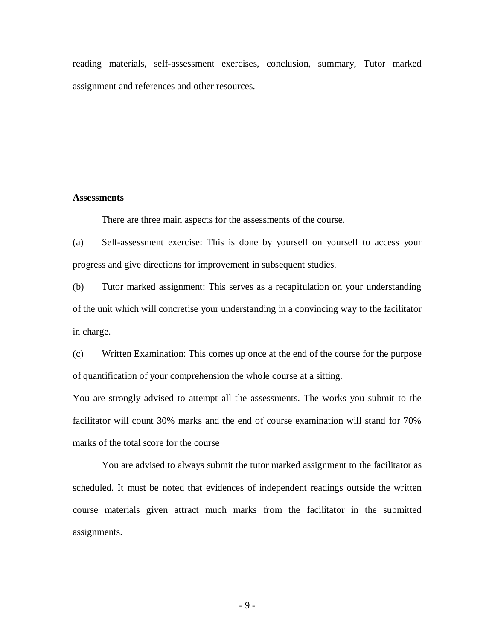reading materials, self-assessment exercises, conclusion, summary, Tutor marked assignment and references and other resources.

#### **Assessments**

There are three main aspects for the assessments of the course.

(a) Self-assessment exercise: This is done by yourself on yourself to access your progress and give directions for improvement in subsequent studies.

(b) Tutor marked assignment: This serves as a recapitulation on your understanding of the unit which will concretise your understanding in a convincing way to the facilitator in charge.

(c) Written Examination: This comes up once at the end of the course for the purpose of quantification of your comprehension the whole course at a sitting.

You are strongly advised to attempt all the assessments. The works you submit to the facilitator will count 30% marks and the end of course examination will stand for 70% marks of the total score for the course

You are advised to always submit the tutor marked assignment to the facilitator as scheduled. It must be noted that evidences of independent readings outside the written course materials given attract much marks from the facilitator in the submitted assignments.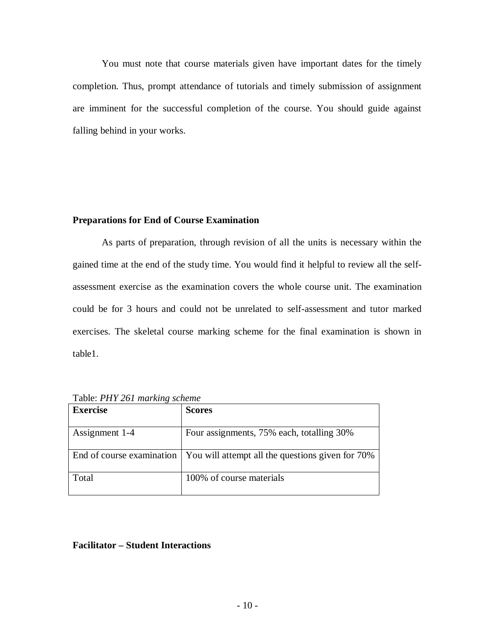You must note that course materials given have important dates for the timely completion. Thus, prompt attendance of tutorials and timely submission of assignment are imminent for the successful completion of the course. You should guide against falling behind in your works.

#### **Preparations for End of Course Examination**

As parts of preparation, through revision of all the units is necessary within the gained time at the end of the study time. You would find it helpful to review all the selfassessment exercise as the examination covers the whole course unit. The examination could be for 3 hours and could not be unrelated to self-assessment and tutor marked exercises. The skeletal course marking scheme for the final examination is shown in table1.

| <b>Exercise</b> | <b>Scores</b>                                                                |
|-----------------|------------------------------------------------------------------------------|
| Assignment 1-4  | Four assignments, 75% each, totalling 30%                                    |
|                 | End of course examination   You will attempt all the questions given for 70% |
| Total           | 100% of course materials                                                     |

Table: *PHY 261 marking scheme* 

# **Facilitator – Student Interactions**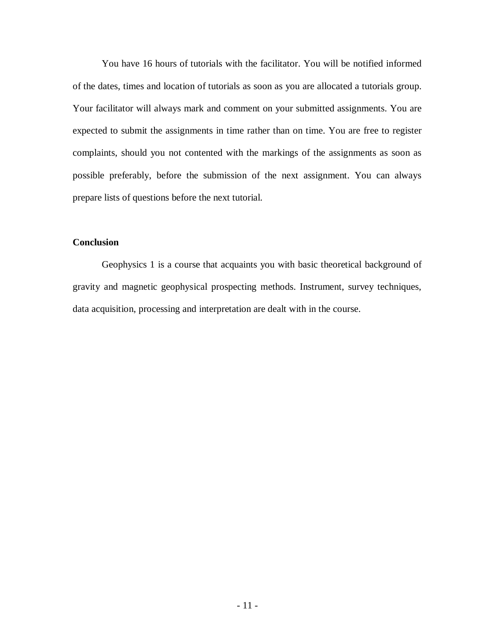You have 16 hours of tutorials with the facilitator. You will be notified informed of the dates, times and location of tutorials as soon as you are allocated a tutorials group. Your facilitator will always mark and comment on your submitted assignments. You are expected to submit the assignments in time rather than on time. You are free to register complaints, should you not contented with the markings of the assignments as soon as possible preferably, before the submission of the next assignment. You can always prepare lists of questions before the next tutorial.

# **Conclusion**

Geophysics 1 is a course that acquaints you with basic theoretical background of gravity and magnetic geophysical prospecting methods. Instrument, survey techniques, data acquisition, processing and interpretation are dealt with in the course.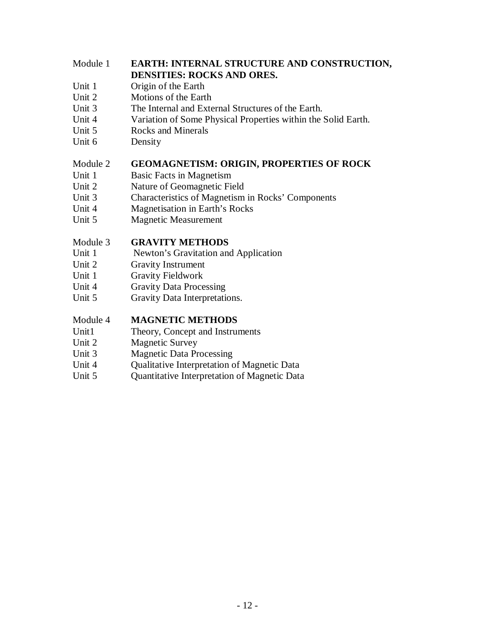# Module 1 **EARTH: INTERNAL STRUCTURE AND CONSTRUCTION, DENSITIES: ROCKS AND ORES.**

- Unit 1 Origin of the Earth
- Unit 2 Motions of the Earth
- Unit 3 The Internal and External Structures of the Earth.
- Unit 4 Variation of Some Physical Properties within the Solid Earth.
- Unit 5 Rocks and Minerals
- Unit 6 Density

# Module 2 **GEOMAGNETISM: ORIGIN, PROPERTIES OF ROCK**

- Unit 1 Basic Facts in Magnetism
- Unit 2 Nature of Geomagnetic Field
- Unit 3 Characteristics of Magnetism in Rocks' Components
- Unit 4 Magnetisation in Earth's Rocks
- Unit 5 Magnetic Measurement

# Module 3 **GRAVITY METHODS**

- Unit 1 Newton's Gravitation and Application
- Unit 2 Gravity Instrument
- Unit 1 Gravity Fieldwork
- Unit 4 Gravity Data Processing
- Unit 5 Gravity Data Interpretations.

# Module 4 **MAGNETIC METHODS**

- Unit1 Theory, Concept and Instruments
- Unit 2 Magnetic Survey
- Unit 3 Magnetic Data Processing
- Unit 4 Qualitative Interpretation of Magnetic Data
- Unit 5 Quantitative Interpretation of Magnetic Data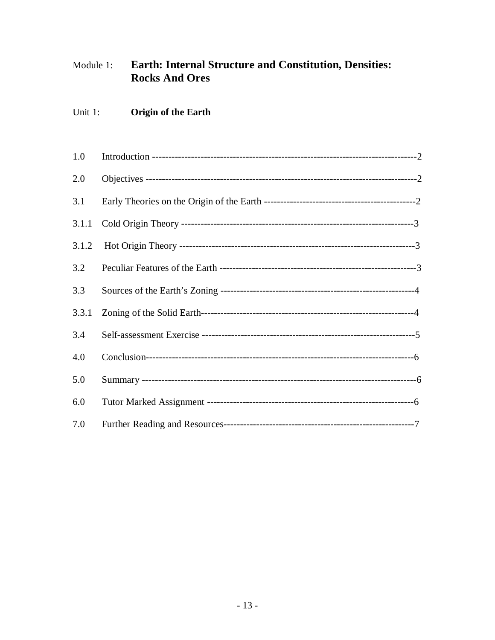#### Earth: Internal Structure and Constitution, Densities: Module 1: **Rocks And Ores**

#### Unit 1: **Origin of the Earth**

| 1.0   |  |
|-------|--|
| 2.0   |  |
| 3.1   |  |
| 3.1.1 |  |
| 3.1.2 |  |
| 3.2   |  |
| 3.3   |  |
| 3.3.1 |  |
| 3.4   |  |
| 4.0   |  |
| 5.0   |  |
| 6.0   |  |
| 7.0   |  |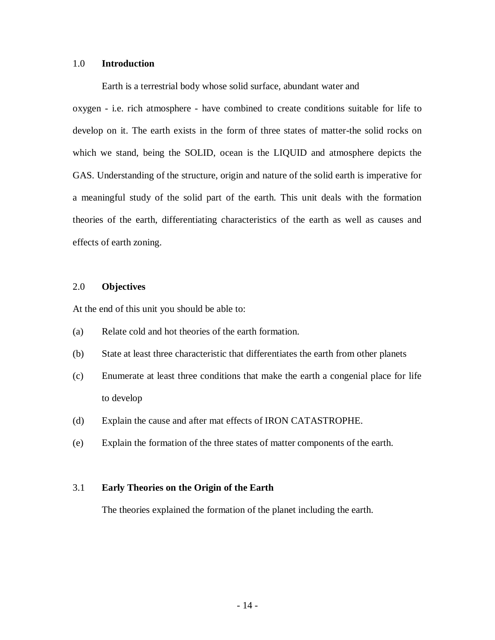### 1.0 **Introduction**

Earth is a terrestrial body whose solid surface, abundant water and

oxygen - i.e. rich atmosphere - have combined to create conditions suitable for life to develop on it. The earth exists in the form of three states of matter-the solid rocks on which we stand, being the SOLID, ocean is the LIQUID and atmosphere depicts the GAS. Understanding of the structure, origin and nature of the solid earth is imperative for a meaningful study of the solid part of the earth. This unit deals with the formation theories of the earth, differentiating characteristics of the earth as well as causes and effects of earth zoning.

# 2.0 **Objectives**

At the end of this unit you should be able to:

- (a) Relate cold and hot theories of the earth formation.
- (b) State at least three characteristic that differentiates the earth from other planets
- (c) Enumerate at least three conditions that make the earth a congenial place for life to develop
- (d) Explain the cause and after mat effects of IRON CATASTROPHE.
- (e) Explain the formation of the three states of matter components of the earth.

#### 3.1 **Early Theories on the Origin of the Earth**

The theories explained the formation of the planet including the earth.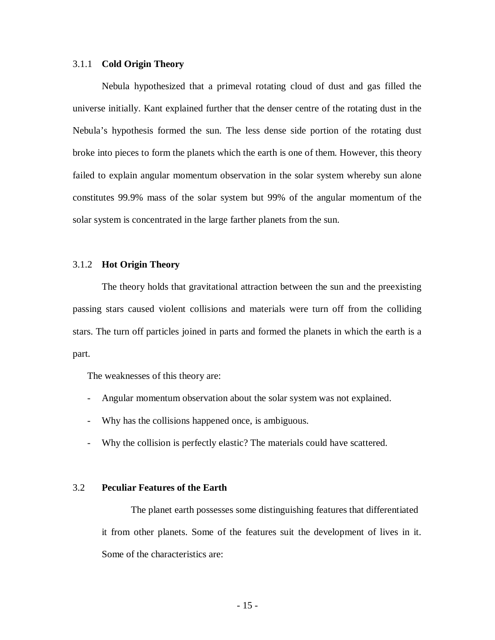#### 3.1.1 **Cold Origin Theory**

Nebula hypothesized that a primeval rotating cloud of dust and gas filled the universe initially. Kant explained further that the denser centre of the rotating dust in the Nebula's hypothesis formed the sun. The less dense side portion of the rotating dust broke into pieces to form the planets which the earth is one of them. However, this theory failed to explain angular momentum observation in the solar system whereby sun alone constitutes 99.9% mass of the solar system but 99% of the angular momentum of the solar system is concentrated in the large farther planets from the sun.

#### 3.1.2 **Hot Origin Theory**

The theory holds that gravitational attraction between the sun and the preexisting passing stars caused violent collisions and materials were turn off from the colliding stars. The turn off particles joined in parts and formed the planets in which the earth is a part.

The weaknesses of this theory are:

- Angular momentum observation about the solar system was not explained.
- Why has the collisions happened once, is ambiguous.
- Why the collision is perfectly elastic? The materials could have scattered.

#### 3.2 **Peculiar Features of the Earth**

The planet earth possesses some distinguishing features that differentiated it from other planets. Some of the features suit the development of lives in it. Some of the characteristics are: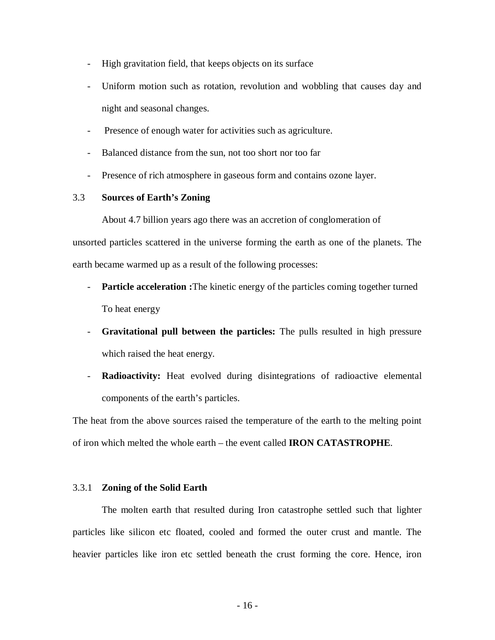- High gravitation field, that keeps objects on its surface
- Uniform motion such as rotation, revolution and wobbling that causes day and night and seasonal changes.
- Presence of enough water for activities such as agriculture.
- Balanced distance from the sun, not too short nor too far
- Presence of rich atmosphere in gaseous form and contains ozone layer.

#### 3.3 **Sources of Earth's Zoning**

About 4.7 billion years ago there was an accretion of conglomeration of unsorted particles scattered in the universe forming the earth as one of the planets. The earth became warmed up as a result of the following processes:

- **Particle acceleration :**The kinetic energy of the particles coming together turned To heat energy
- **Gravitational pull between the particles:** The pulls resulted in high pressure which raised the heat energy.
- **Radioactivity:** Heat evolved during disintegrations of radioactive elemental components of the earth's particles.

The heat from the above sources raised the temperature of the earth to the melting point of iron which melted the whole earth – the event called **IRON CATASTROPHE**.

#### 3.3.1 **Zoning of the Solid Earth**

The molten earth that resulted during Iron catastrophe settled such that lighter particles like silicon etc floated, cooled and formed the outer crust and mantle. The heavier particles like iron etc settled beneath the crust forming the core. Hence, iron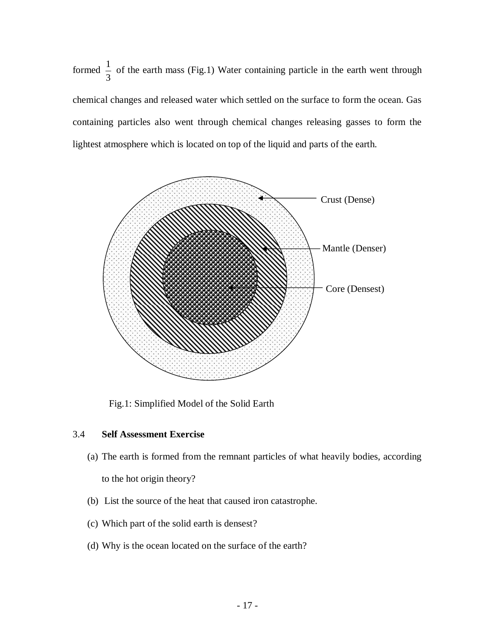formed 3  $\frac{1}{2}$  of the earth mass (Fig.1) Water containing particle in the earth went through chemical changes and released water which settled on the surface to form the ocean. Gas containing particles also went through chemical changes releasing gasses to form the lightest atmosphere which is located on top of the liquid and parts of the earth.



Fig.1: Simplified Model of the Solid Earth

# 3.4 **Self Assessment Exercise**

- (a) The earth is formed from the remnant particles of what heavily bodies, according to the hot origin theory?
- (b) List the source of the heat that caused iron catastrophe.
- (c) Which part of the solid earth is densest?
- (d) Why is the ocean located on the surface of the earth?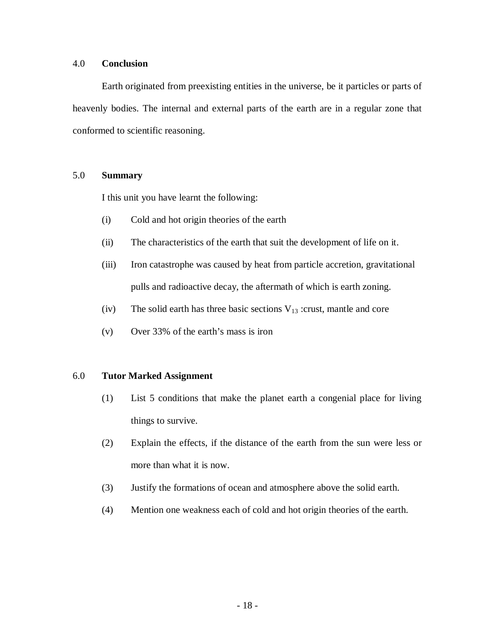### 4.0 **Conclusion**

Earth originated from preexisting entities in the universe, be it particles or parts of heavenly bodies. The internal and external parts of the earth are in a regular zone that conformed to scientific reasoning.

# 5.0 **Summary**

I this unit you have learnt the following:

- (i) Cold and hot origin theories of the earth
- (ii) The characteristics of the earth that suit the development of life on it.
- (iii) Iron catastrophe was caused by heat from particle accretion, gravitational pulls and radioactive decay, the aftermath of which is earth zoning.
- (iv) The solid earth has three basic sections  $V_{13}$  :crust, mantle and core
- (v) Over 33% of the earth's mass is iron

# 6.0 **Tutor Marked Assignment**

- (1) List 5 conditions that make the planet earth a congenial place for living things to survive.
- (2) Explain the effects, if the distance of the earth from the sun were less or more than what it is now.
- (3) Justify the formations of ocean and atmosphere above the solid earth.
- (4) Mention one weakness each of cold and hot origin theories of the earth.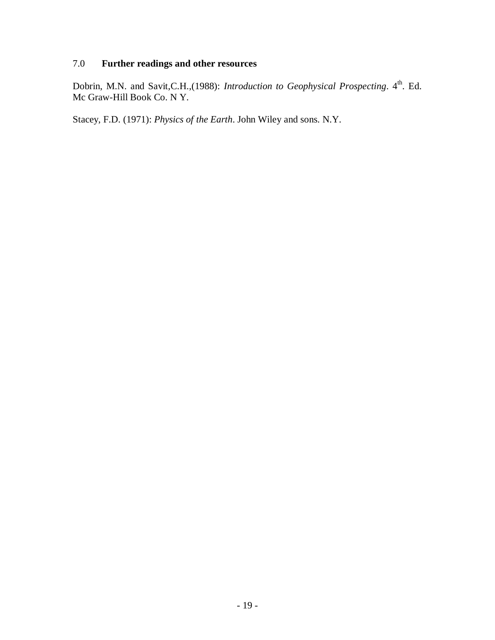# 7.0 **Further readings and other resources**

Dobrin, M.N. and Savit, C.H., (1988): *Introduction to Geophysical Prospecting*. 4<sup>th</sup>. Ed. Mc Graw-Hill Book Co. N Y.

Stacey, F.D. (1971): *Physics of the Earth*. John Wiley and sons. N.Y.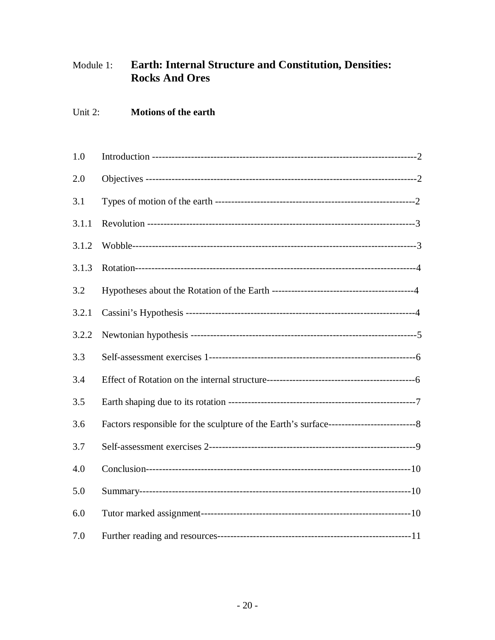#### Earth: Internal Structure and Constitution, Densities: Module 1: **Rocks And Ores**

#### Unit 2: **Motions of the earth**

| 1.0   |  |
|-------|--|
| 2.0   |  |
| 3.1   |  |
| 3.1.1 |  |
| 3.1.2 |  |
| 3.1.3 |  |
| 3.2   |  |
| 3.2.1 |  |
| 3.2.2 |  |
| 3.3   |  |
| 3.4   |  |
| 3.5   |  |
| 3.6   |  |
| 3.7   |  |
| 4.0   |  |
| 5.0   |  |
| 6.0   |  |
| 7.0   |  |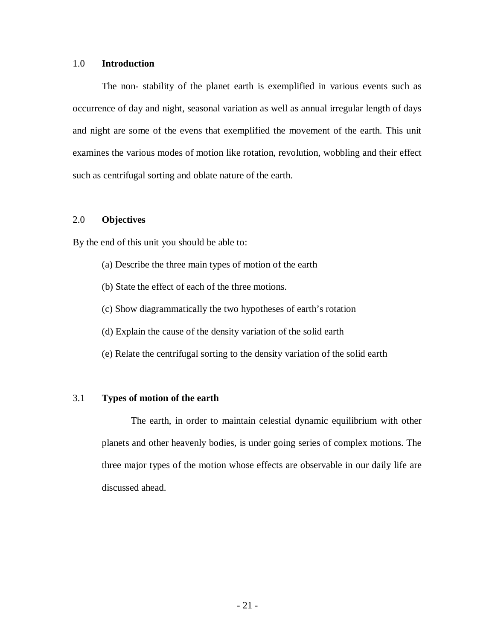#### 1.0 **Introduction**

The non- stability of the planet earth is exemplified in various events such as occurrence of day and night, seasonal variation as well as annual irregular length of days and night are some of the evens that exemplified the movement of the earth. This unit examines the various modes of motion like rotation, revolution, wobbling and their effect such as centrifugal sorting and oblate nature of the earth.

# 2.0 **Objectives**

By the end of this unit you should be able to:

- (a) Describe the three main types of motion of the earth
- (b) State the effect of each of the three motions.
- (c) Show diagrammatically the two hypotheses of earth's rotation
- (d) Explain the cause of the density variation of the solid earth
- (e) Relate the centrifugal sorting to the density variation of the solid earth

# 3.1 **Types of motion of the earth**

The earth, in order to maintain celestial dynamic equilibrium with other planets and other heavenly bodies, is under going series of complex motions. The three major types of the motion whose effects are observable in our daily life are discussed ahead.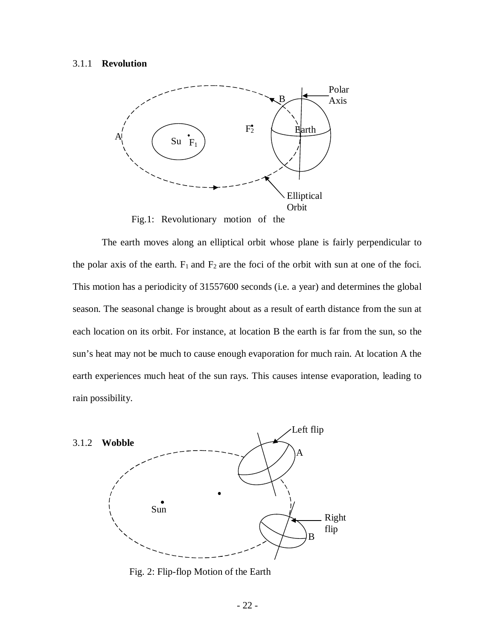#### 3.1.1 **Revolution**



Fig.1: Revolutionary motion of the

The earth moves along an elliptical orbit whose plane is fairly perpendicular to the polar axis of the earth.  $F_1$  and  $F_2$  are the foci of the orbit with sun at one of the foci. This motion has a periodicity of 31557600 seconds (i.e. a year) and determines the global season. The seasonal change is brought about as a result of earth distance from the sun at each location on its orbit. For instance, at location B the earth is far from the sun, so the sun's heat may not be much to cause enough evaporation for much rain. At location A the earth experiences much heat of the sun rays. This causes intense evaporation, leading to rain possibility.



Fig. 2: Flip-flop Motion of the Earth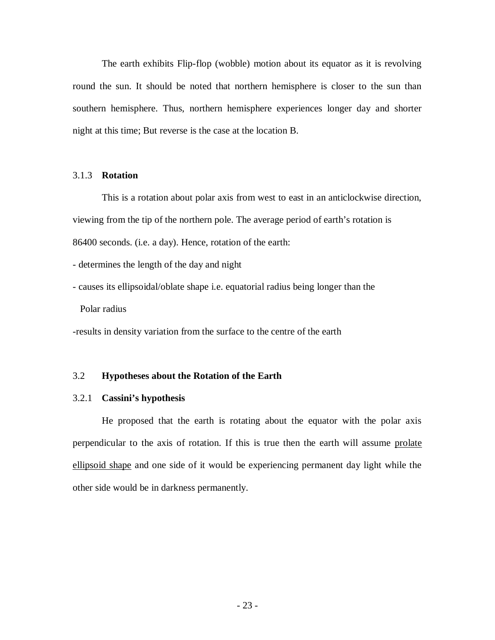The earth exhibits Flip-flop (wobble) motion about its equator as it is revolving round the sun. It should be noted that northern hemisphere is closer to the sun than southern hemisphere. Thus, northern hemisphere experiences longer day and shorter night at this time; But reverse is the case at the location B.

#### 3.1.3 **Rotation**

This is a rotation about polar axis from west to east in an anticlockwise direction, viewing from the tip of the northern pole. The average period of earth's rotation is 86400 seconds. (i.e. a day). Hence, rotation of the earth:

- determines the length of the day and night

- causes its ellipsoidal/oblate shape i.e. equatorial radius being longer than the

Polar radius

-results in density variation from the surface to the centre of the earth

#### 3.2 **Hypotheses about the Rotation of the Earth**

#### 3.2.1 **Cassini's hypothesis**

He proposed that the earth is rotating about the equator with the polar axis perpendicular to the axis of rotation. If this is true then the earth will assume prolate ellipsoid shape and one side of it would be experiencing permanent day light while the other side would be in darkness permanently.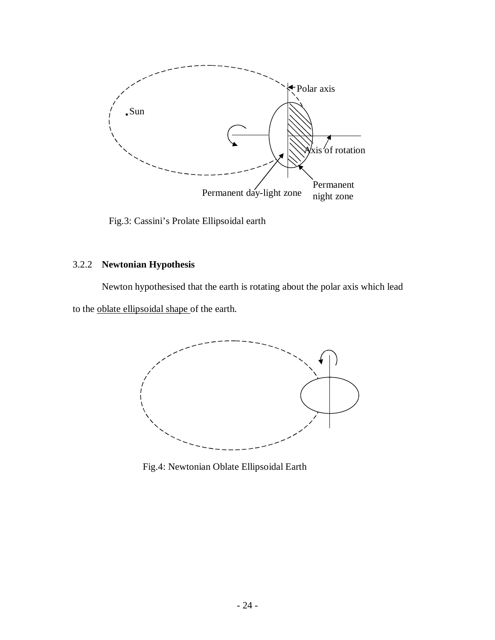

Fig.3: Cassini's Prolate Ellipsoidal earth

# 3.2.2 **Newtonian Hypothesis**

Newton hypothesised that the earth is rotating about the polar axis which lead to the oblate ellipsoidal shape of the earth.



Fig.4: Newtonian Oblate Ellipsoidal Earth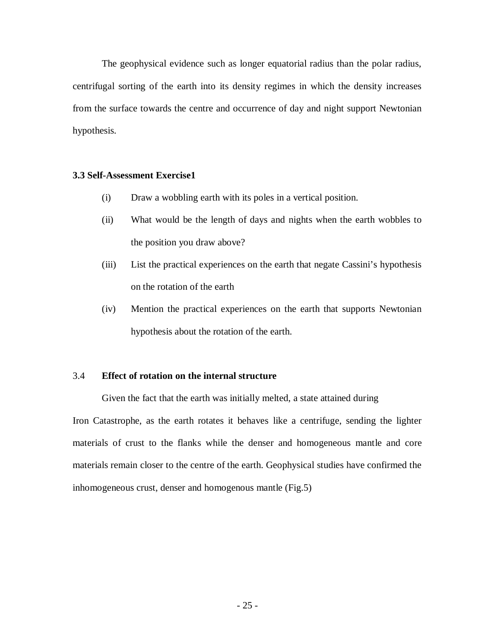The geophysical evidence such as longer equatorial radius than the polar radius, centrifugal sorting of the earth into its density regimes in which the density increases from the surface towards the centre and occurrence of day and night support Newtonian hypothesis.

# **3.3 Self-Assessment Exercise1**

- (i) Draw a wobbling earth with its poles in a vertical position.
- (ii) What would be the length of days and nights when the earth wobbles to the position you draw above?
- (iii) List the practical experiences on the earth that negate Cassini's hypothesis on the rotation of the earth
- (iv) Mention the practical experiences on the earth that supports Newtonian hypothesis about the rotation of the earth.

#### 3.4 **Effect of rotation on the internal structure**

Given the fact that the earth was initially melted, a state attained during Iron Catastrophe, as the earth rotates it behaves like a centrifuge, sending the lighter materials of crust to the flanks while the denser and homogeneous mantle and core materials remain closer to the centre of the earth. Geophysical studies have confirmed the inhomogeneous crust, denser and homogenous mantle (Fig.5)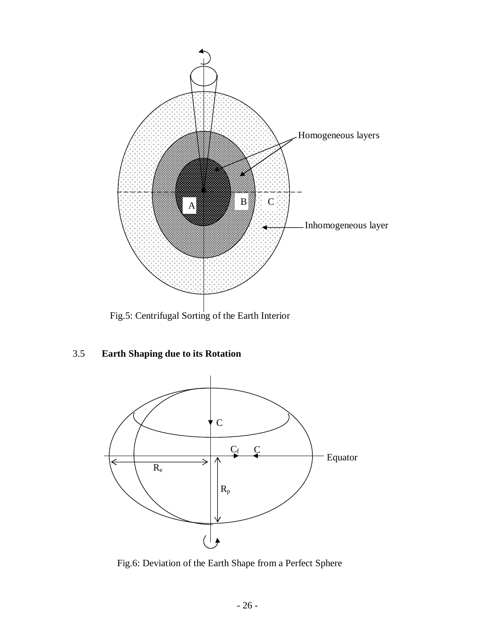

Fig.5: Centrifugal Sorting of the Earth Interior

# 3.5 **Earth Shaping due to its Rotation**



Fig.6: Deviation of the Earth Shape from a Perfect Sphere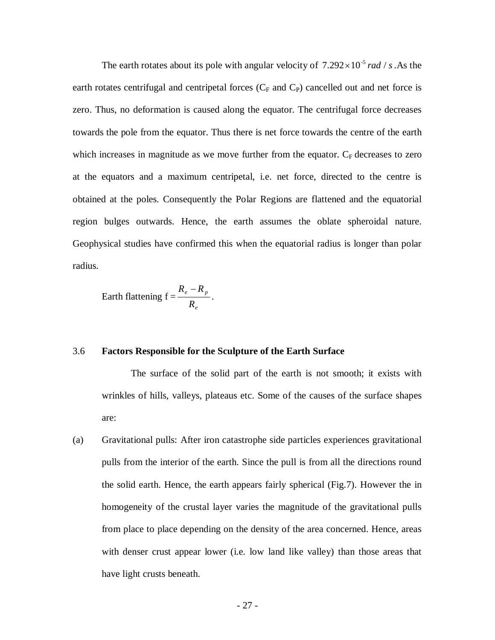The earth rotates about its pole with angular velocity of  $7.292 \times 10^{-5}$  *rad / s*. As the earth rotates centrifugal and centripetal forces  $(C_F \text{ and } C_P)$  cancelled out and net force is zero. Thus, no deformation is caused along the equator. The centrifugal force decreases towards the pole from the equator. Thus there is net force towards the centre of the earth which increases in magnitude as we move further from the equator.  $C_F$  decreases to zero at the equators and a maximum centripetal, i.e. net force, directed to the centre is obtained at the poles. Consequently the Polar Regions are flattened and the equatorial region bulges outwards. Hence, the earth assumes the oblate spheroidal nature. Geophysical studies have confirmed this when the equatorial radius is longer than polar radius.

Earth flattening 
$$
f = \frac{R_e - R_p}{R_e}
$$
.

#### 3.6 **Factors Responsible for the Sculpture of the Earth Surface**

The surface of the solid part of the earth is not smooth; it exists with wrinkles of hills, valleys, plateaus etc. Some of the causes of the surface shapes are:

(a) Gravitational pulls: After iron catastrophe side particles experiences gravitational pulls from the interior of the earth. Since the pull is from all the directions round the solid earth. Hence, the earth appears fairly spherical (Fig.7). However the in homogeneity of the crustal layer varies the magnitude of the gravitational pulls from place to place depending on the density of the area concerned. Hence, areas with denser crust appear lower (i.e. low land like valley) than those areas that have light crusts beneath.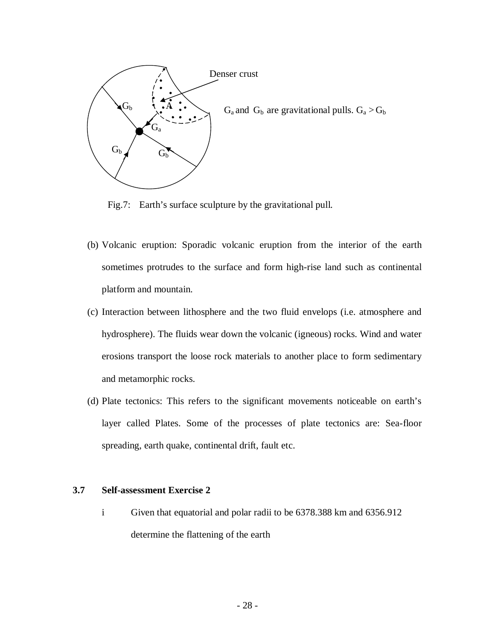

Fig.7: Earth's surface sculpture by the gravitational pull.

- (b) Volcanic eruption: Sporadic volcanic eruption from the interior of the earth sometimes protrudes to the surface and form high-rise land such as continental platform and mountain.
- (c) Interaction between lithosphere and the two fluid envelops (i.e. atmosphere and hydrosphere). The fluids wear down the volcanic (igneous) rocks. Wind and water erosions transport the loose rock materials to another place to form sedimentary and metamorphic rocks.
- (d) Plate tectonics: This refers to the significant movements noticeable on earth's layer called Plates. Some of the processes of plate tectonics are: Sea-floor spreading, earth quake, continental drift, fault etc.

# **3.7 Self-assessment Exercise 2**

i Given that equatorial and polar radii to be 6378.388 km and 6356.912 determine the flattening of the earth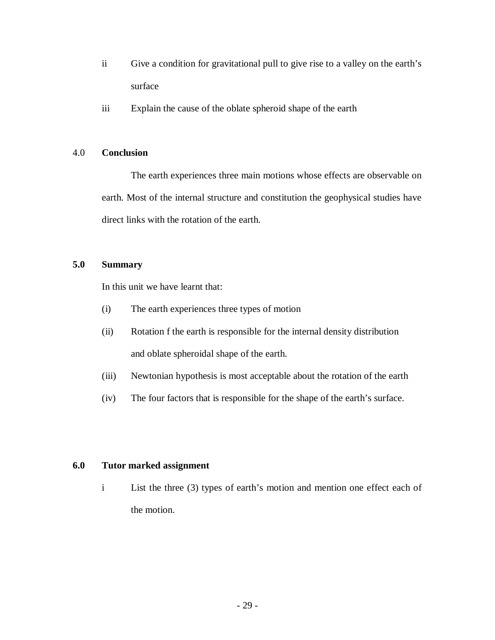- ii Give a condition for gravitational pull to give rise to a valley on the earth's surface
- iii Explain the cause of the oblate spheroid shape of the earth

# 4.0 **Conclusion**

The earth experiences three main motions whose effects are observable on earth. Most of the internal structure and constitution the geophysical studies have direct links with the rotation of the earth.

# **5.0 Summary**

In this unit we have learnt that:

- (i) The earth experiences three types of motion
- (ii) Rotation f the earth is responsible for the internal density distribution and oblate spheroidal shape of the earth.
- (iii) Newtonian hypothesis is most acceptable about the rotation of the earth
- (iv) The four factors that is responsible for the shape of the earth's surface.

# **6.0 Tutor marked assignment**

i List the three (3) types of earth's motion and mention one effect each of the motion.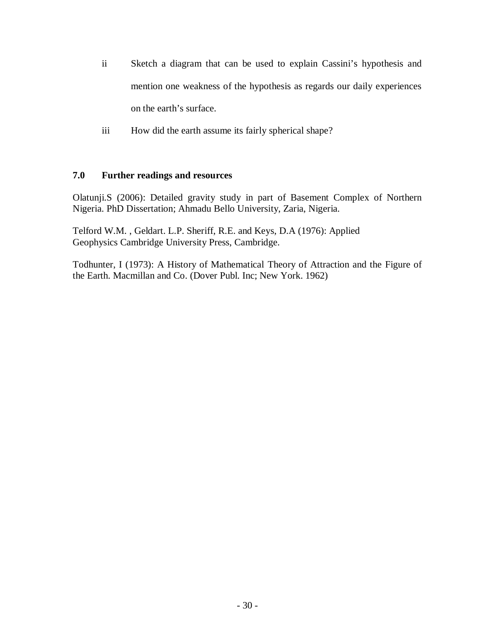- ii Sketch a diagram that can be used to explain Cassini's hypothesis and mention one weakness of the hypothesis as regards our daily experiences on the earth's surface.
- iii How did the earth assume its fairly spherical shape?

# **7.0 Further readings and resources**

Olatunji.S (2006): Detailed gravity study in part of Basement Complex of Northern Nigeria. PhD Dissertation; Ahmadu Bello University, Zaria, Nigeria.

Telford W.M. , Geldart. L.P. Sheriff, R.E. and Keys, D.A (1976): Applied Geophysics Cambridge University Press, Cambridge.

Todhunter, I (1973): A History of Mathematical Theory of Attraction and the Figure of the Earth. Macmillan and Co. (Dover Publ. Inc; New York. 1962)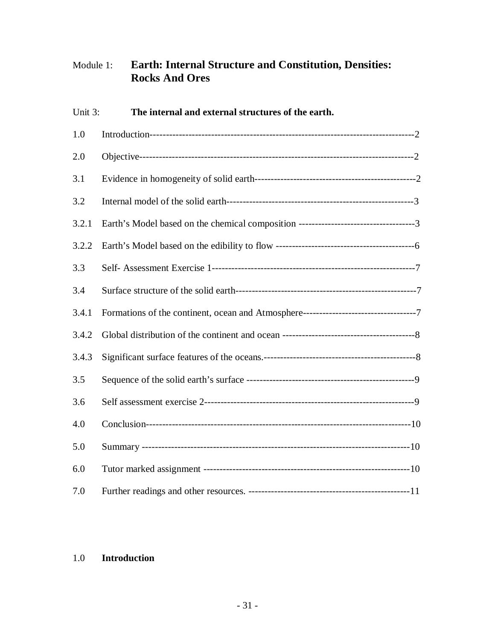# Module 1: **Earth: Internal Structure and Constitution, Densities: Rocks And Ores**

| Unit 3: | The internal and external structures of the earth. |  |
|---------|----------------------------------------------------|--|
| 1.0     |                                                    |  |
| 2.0     |                                                    |  |
| 3.1     |                                                    |  |
| 3.2     |                                                    |  |
| 3.2.1   |                                                    |  |
| 3.2.2   |                                                    |  |
| 3.3     |                                                    |  |
| 3.4     |                                                    |  |
| 3.4.1   |                                                    |  |
| 3.4.2   |                                                    |  |
| 3.4.3   |                                                    |  |
| 3.5     |                                                    |  |
| 3.6     |                                                    |  |
| 4.0     |                                                    |  |
| 5.0     |                                                    |  |
| 6.0     |                                                    |  |
| 7.0     |                                                    |  |

# 1.0 **Introduction**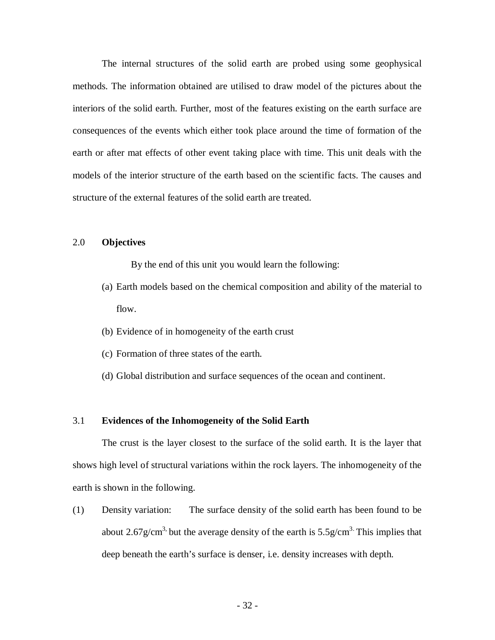The internal structures of the solid earth are probed using some geophysical methods. The information obtained are utilised to draw model of the pictures about the interiors of the solid earth. Further, most of the features existing on the earth surface are consequences of the events which either took place around the time of formation of the earth or after mat effects of other event taking place with time. This unit deals with the models of the interior structure of the earth based on the scientific facts. The causes and structure of the external features of the solid earth are treated.

#### 2.0 **Objectives**

By the end of this unit you would learn the following:

- (a) Earth models based on the chemical composition and ability of the material to flow.
- (b) Evidence of in homogeneity of the earth crust
- (c) Formation of three states of the earth.
- (d) Global distribution and surface sequences of the ocean and continent.

# 3.1 **Evidences of the Inhomogeneity of the Solid Earth**

The crust is the layer closest to the surface of the solid earth. It is the layer that shows high level of structural variations within the rock layers. The inhomogeneity of the earth is shown in the following.

(1) Density variation: The surface density of the solid earth has been found to be about 2.67g/cm<sup>3,</sup> but the average density of the earth is  $5.5$ g/cm<sup>3.</sup> This implies that deep beneath the earth's surface is denser, i.e. density increases with depth.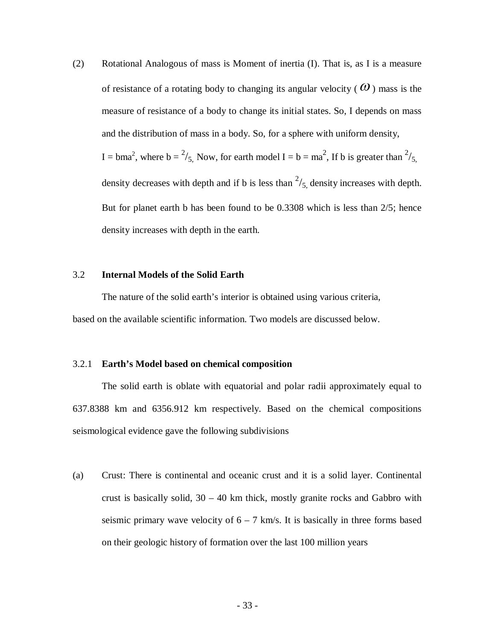(2) Rotational Analogous of mass is Moment of inertia (I). That is, as I is a measure of resistance of a rotating body to changing its angular velocity ( $\omega$ ) mass is the measure of resistance of a body to change its initial states. So, I depends on mass and the distribution of mass in a body. So, for a sphere with uniform density, I = bma<sup>2</sup>, where  $b = \frac{2}{5}$ , Now, for earth model I = b = ma<sup>2</sup>, If b is greater than  $\frac{2}{5}$ , density decreases with depth and if b is less than  $\frac{2}{5}$ , density increases with depth. But for planet earth b has been found to be 0.3308 which is less than 2/5; hence density increases with depth in the earth.

#### 3.2 **Internal Models of the Solid Earth**

The nature of the solid earth's interior is obtained using various criteria, based on the available scientific information. Two models are discussed below.

#### 3.2.1 **Earth's Model based on chemical composition**

The solid earth is oblate with equatorial and polar radii approximately equal to 637.8388 km and 6356.912 km respectively. Based on the chemical compositions seismological evidence gave the following subdivisions

(a) Crust: There is continental and oceanic crust and it is a solid layer. Continental crust is basically solid, 30 – 40 km thick, mostly granite rocks and Gabbro with seismic primary wave velocity of  $6 - 7$  km/s. It is basically in three forms based on their geologic history of formation over the last 100 million years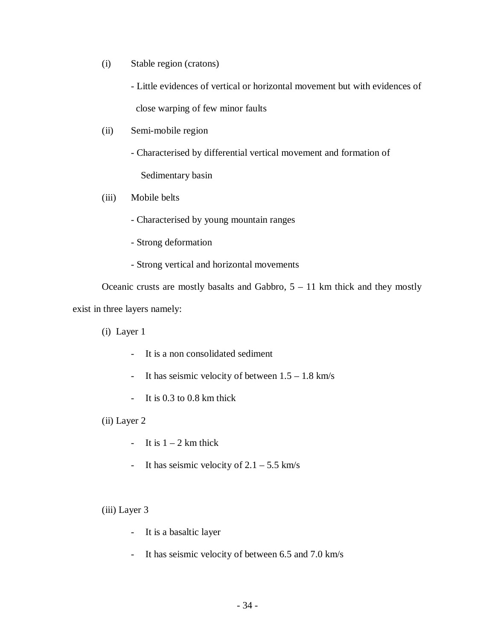(i) Stable region (cratons)

- Little evidences of vertical or horizontal movement but with evidences of

close warping of few minor faults

(ii) Semi-mobile region

- Characterised by differential vertical movement and formation of

Sedimentary basin

# (iii) Mobile belts

- Characterised by young mountain ranges
- Strong deformation
- Strong vertical and horizontal movements

Oceanic crusts are mostly basalts and Gabbro,  $5 - 11$  km thick and they mostly exist in three layers namely:

(i) Layer 1

- It is a non consolidated sediment
- It has seismic velocity of between  $1.5 1.8$  km/s
- It is 0.3 to 0.8 km thick

(ii) Layer 2

- It is  $1 2$  km thick
- It has seismic velocity of  $2.1 5.5$  km/s

(iii) Layer 3

- It is a basaltic layer
- It has seismic velocity of between 6.5 and 7.0 km/s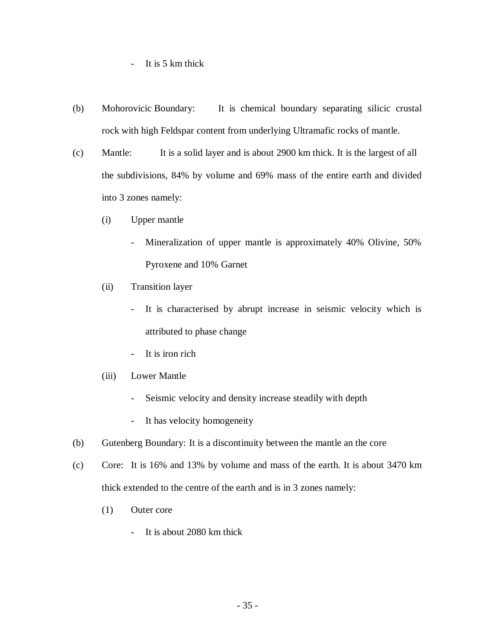- It is 5 km thick

- (b) Mohorovicic Boundary: It is chemical boundary separating silicic crustal rock with high Feldspar content from underlying Ultramafic rocks of mantle.
- (c) Mantle: It is a solid layer and is about 2900 km thick. It is the largest of all the subdivisions, 84% by volume and 69% mass of the entire earth and divided into 3 zones namely:
	- (i) Upper mantle
		- Mineralization of upper mantle is approximately 40% Olivine, 50% Pyroxene and 10% Garnet
	- (ii) Transition layer
		- It is characterised by abrupt increase in seismic velocity which is attributed to phase change
		- It is iron rich
	- (iii) Lower Mantle
		- Seismic velocity and density increase steadily with depth
		- It has velocity homogeneity
- (b) Gutenberg Boundary: It is a discontinuity between the mantle an the core
- (c) Core: It is 16% and 13% by volume and mass of the earth. It is about 3470 km thick extended to the centre of the earth and is in 3 zones namely:
	- (1) Outer core
		- It is about 2080 km thick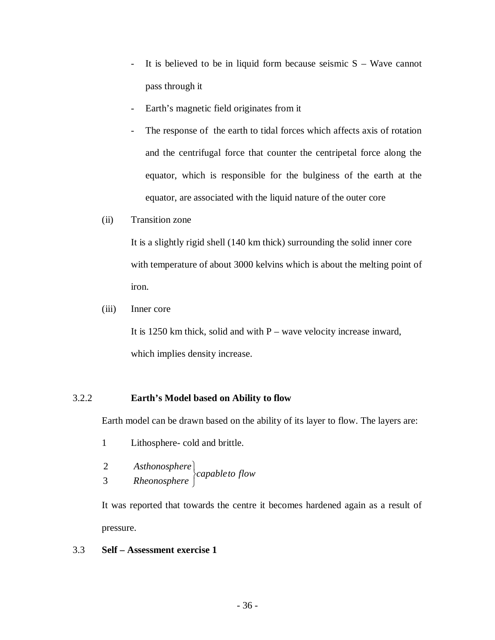- It is believed to be in liquid form because seismic  $S Wave$  cannot pass through it
- Earth's magnetic field originates from it
- The response of the earth to tidal forces which affects axis of rotation and the centrifugal force that counter the centripetal force along the equator, which is responsible for the bulginess of the earth at the equator, are associated with the liquid nature of the outer core
- (ii) Transition zone

It is a slightly rigid shell (140 km thick) surrounding the solid inner core with temperature of about 3000 kelvins which is about the melting point of iron.

(iii) Inner core

It is 1250 km thick, solid and with  $P$  – wave velocity increase inward, which implies density increase.

# 3.2.2 **Earth's Model based on Ability to flow**

Earth model can be drawn based on the ability of its layer to flow. The layers are:

- 1 Lithosphere- cold and brittle.
- *capableto flow Rheonosphere Asthonosphere*  $\int$  $\left\{ \right\}$  $\overline{1}$ 3 2

It was reported that towards the centre it becomes hardened again as a result of pressure.

# 3.3 **Self – Assessment exercise 1**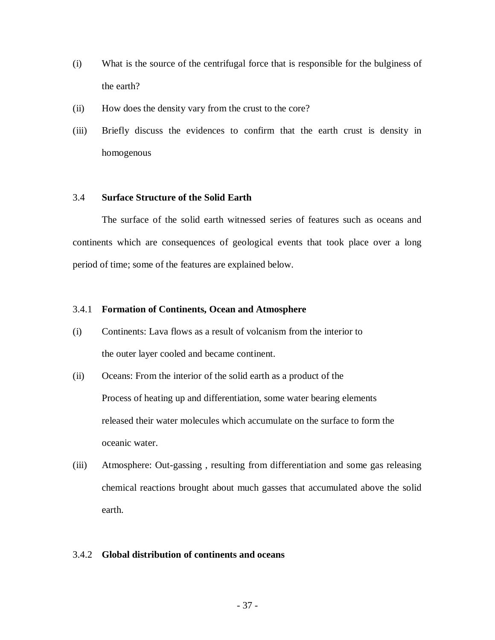- (i) What is the source of the centrifugal force that is responsible for the bulginess of the earth?
- (ii) How does the density vary from the crust to the core?
- (iii) Briefly discuss the evidences to confirm that the earth crust is density in homogenous

### 3.4 **Surface Structure of the Solid Earth**

The surface of the solid earth witnessed series of features such as oceans and continents which are consequences of geological events that took place over a long period of time; some of the features are explained below.

### 3.4.1 **Formation of Continents, Ocean and Atmosphere**

- (i) Continents: Lava flows as a result of volcanism from the interior to the outer layer cooled and became continent.
- (ii) Oceans: From the interior of the solid earth as a product of the Process of heating up and differentiation, some water bearing elements released their water molecules which accumulate on the surface to form the oceanic water.
- (iii) Atmosphere: Out-gassing , resulting from differentiation and some gas releasing chemical reactions brought about much gasses that accumulated above the solid earth.

# 3.4.2 **Global distribution of continents and oceans**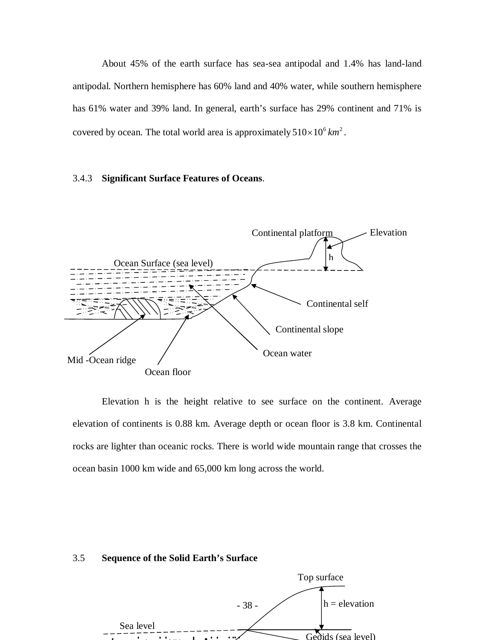About 45% of the earth surface has sea-sea antipodal and 1.4% has land-land antipodal. Northern hemisphere has 60% land and 40% water, while southern hemisphere has 61% water and 39% land. In general, earth's surface has 29% continent and 71% is covered by ocean. The total world area is approximately  $510\times10^6$  km<sup>2</sup>.

#### 3.4.3 **Significant Surface Features of Oceans**.



Elevation h is the height relative to see surface on the continent. Average elevation of continents is 0.88 km. Average depth or ocean floor is 3.8 km. Continental rocks are lighter than oceanic rocks. There is world wide mountain range that crosses the ocean basin 1000 km wide and 65,000 km long across the world.

#### 3.5 **Sequence of the Solid Earth's Surface**

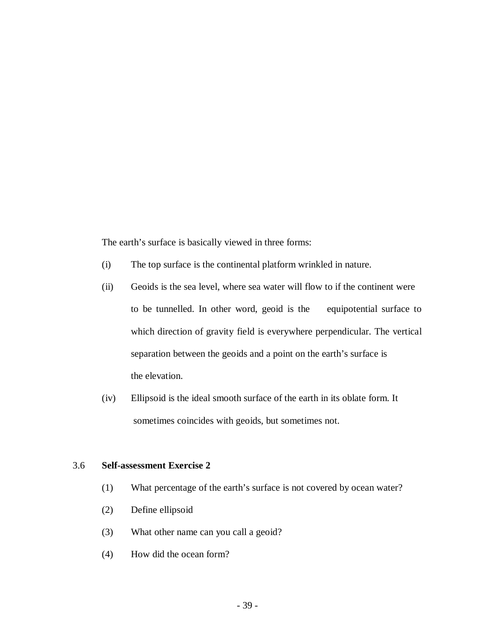The earth's surface is basically viewed in three forms:

- (i) The top surface is the continental platform wrinkled in nature.
- (ii) Geoids is the sea level, where sea water will flow to if the continent were to be tunnelled. In other word, geoid is the equipotential surface to which direction of gravity field is everywhere perpendicular. The vertical separation between the geoids and a point on the earth's surface is the elevation.
- (iv) Ellipsoid is the ideal smooth surface of the earth in its oblate form. It sometimes coincides with geoids, but sometimes not.

# 3.6 **Self-assessment Exercise 2**

- (1) What percentage of the earth's surface is not covered by ocean water?
- (2) Define ellipsoid
- (3) What other name can you call a geoid?
- (4) How did the ocean form?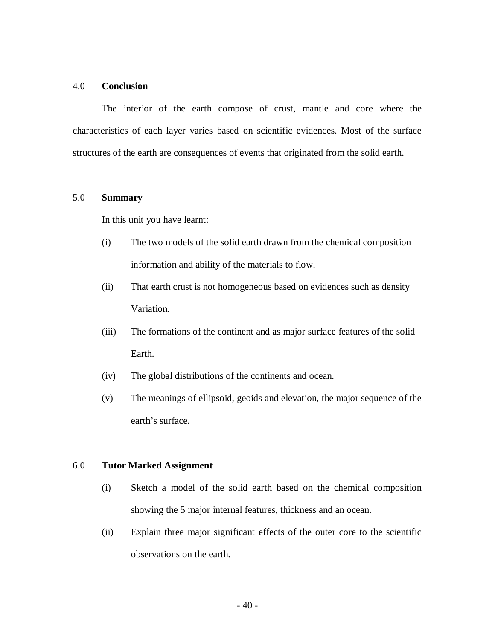# 4.0 **Conclusion**

The interior of the earth compose of crust, mantle and core where the characteristics of each layer varies based on scientific evidences. Most of the surface structures of the earth are consequences of events that originated from the solid earth.

# 5.0 **Summary**

In this unit you have learnt:

- (i) The two models of the solid earth drawn from the chemical composition information and ability of the materials to flow.
- (ii) That earth crust is not homogeneous based on evidences such as density Variation.
- (iii) The formations of the continent and as major surface features of the solid Earth.
- (iv) The global distributions of the continents and ocean.
- (v) The meanings of ellipsoid, geoids and elevation, the major sequence of the earth's surface.

#### 6.0 **Tutor Marked Assignment**

- (i) Sketch a model of the solid earth based on the chemical composition showing the 5 major internal features, thickness and an ocean.
- (ii) Explain three major significant effects of the outer core to the scientific observations on the earth.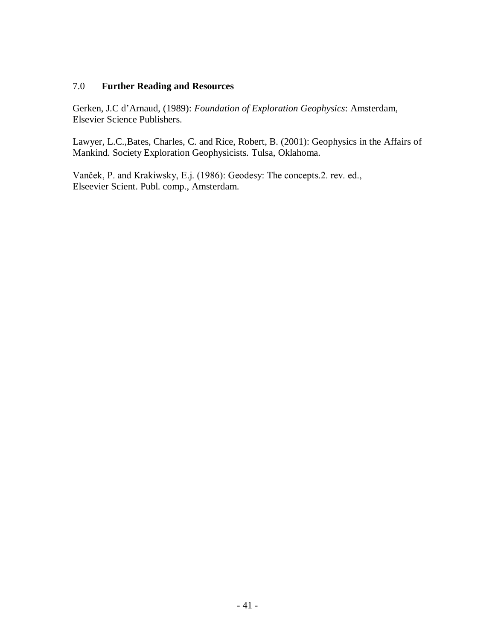# 7.0 **Further Reading and Resources**

Gerken, J.C d'Arnaud, (1989): *Foundation of Exploration Geophysics*: Amsterdam, Elsevier Science Publishers.

Lawyer, L.C.,Bates, Charles, C. and Rice, Robert, B. (2001): Geophysics in the Affairs of Mankind. Society Exploration Geophysicists*.* Tulsa, Oklahoma.

Vanček, P. and Krakiwsky, E.j. (1986): Geodesy: The concepts.2. rev. ed., Elseevier Scient. Publ. comp., Amsterdam.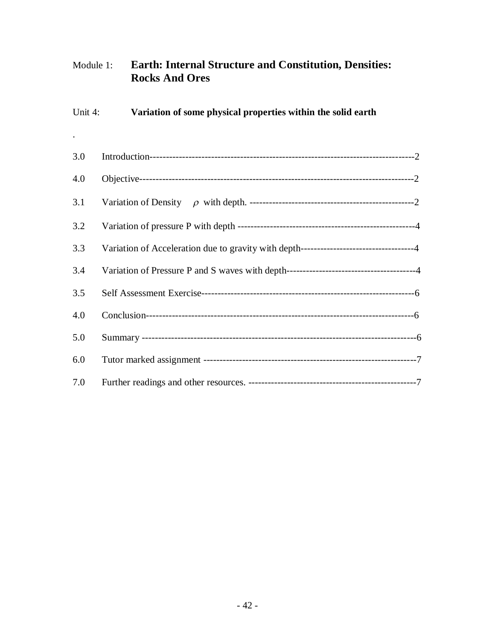# Module 1: **Earth: Internal Structure and Constitution, Densities: Rocks And Ores**

| Unit 4: | Variation of some physical properties within the solid earth                           |
|---------|----------------------------------------------------------------------------------------|
|         |                                                                                        |
| 3.0     |                                                                                        |
| 4.0     |                                                                                        |
| 3.1     |                                                                                        |
| 3.2     |                                                                                        |
| 3.3     | Variation of Acceleration due to gravity with depth----------------------------------4 |
| 3.4     |                                                                                        |
| 3.5     |                                                                                        |
| 4.0     |                                                                                        |
| 5.0     |                                                                                        |
| 6.0     |                                                                                        |
| 7.0     |                                                                                        |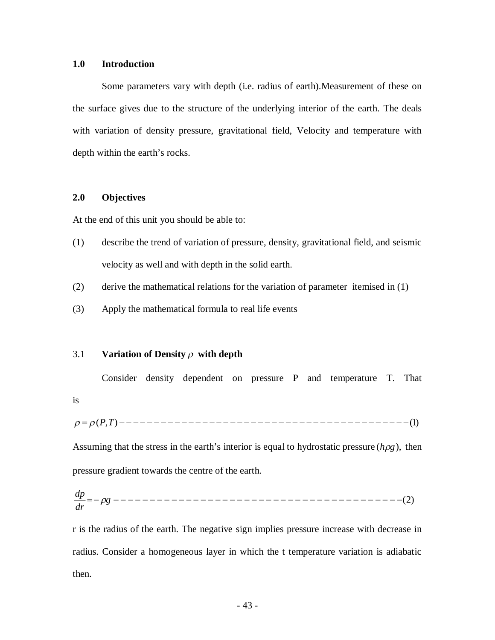### **1.0 Introduction**

Some parameters vary with depth (i.e. radius of earth).Measurement of these on the surface gives due to the structure of the underlying interior of the earth. The deals with variation of density pressure, gravitational field, Velocity and temperature with depth within the earth's rocks.

# **2.0 Objectives**

At the end of this unit you should be able to:

- (1) describe the trend of variation of pressure, density, gravitational field, and seismic velocity as well and with depth in the solid earth.
- (2) derive the mathematical relations for the variation of parameter itemised in (1)
- (3) Apply the mathematical formula to real life events

# 3.1 **Variation of Density**  $\rho$  with depth

Consider density dependent on pressure P and temperature T. That is

(*P*,*T*) (1)

Assuming that the stress in the earth's interior is equal to hydrostatic pressure  $(h\rho g)$ , then pressure gradient towards the centre of the earth.

 *g* (2) *dr dp* 

r is the radius of the earth. The negative sign implies pressure increase with decrease in radius. Consider a homogeneous layer in which the t temperature variation is adiabatic then.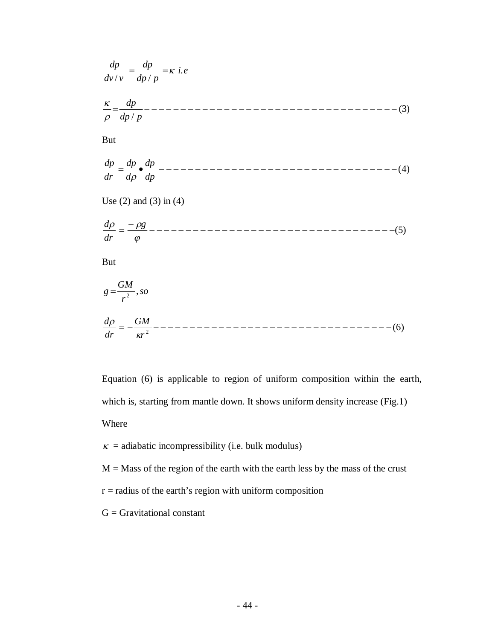$$
\frac{dp}{dv/v} = \frac{dp}{dp/p} = \kappa \text{ i.e}
$$
\n
$$
\frac{\kappa}{\rho} = \frac{dp}{dp/p} - \frac{1}{\rho} - \frac{1}{\rho} = \frac{1}{\rho} \int \frac{dp}{dp} - \frac{1}{\rho} = \frac{1}{\rho} \int \frac{dp}{dp} - \frac{1}{\rho} = \frac{1}{\rho} \int \frac{dp}{dp} - \frac{1}{\rho} = \frac{1}{\rho} \int \frac{dp}{dp} = \frac{1}{\rho} = \frac{-\rho g}{\rho} = \frac{1}{\rho} = \frac{-\rho g}{\rho} = \frac{1}{\rho^2} = \frac{GM}{\rho^2}, so
$$
\n
$$
\frac{d\rho}{dr} = \frac{GM}{\rho^2} = \frac{GM}{\rho^2} = \frac{1}{\rho^2} = \frac{GM}{\rho^2} = \frac{1}{\rho^2} = \frac{GM}{\rho^2} = \frac{1}{\rho^2} = \frac{GM}{\rho^2} = \frac{1}{\rho^2} = \frac{GM}{\rho^2} = \frac{1}{\rho^2} = \frac{1}{\rho^2} = \frac{1}{\rho^2} = \frac{1}{\rho^2} = \frac{1}{\rho^2} = \frac{1}{\rho^2} = \frac{1}{\rho^2} = \frac{1}{\rho^2} = \frac{1}{\rho^2} = \frac{1}{\rho^2} = \frac{1}{\rho^2} = \frac{1}{\rho^2} = \frac{1}{\rho^2} = \frac{1}{\rho^2} = \frac{1}{\rho^2} = \frac{1}{\rho^2} = \frac{1}{\rho^2} = \frac{1}{\rho^2} = \frac{1}{\rho^2} = \frac{1}{\rho^2} = \frac{1}{\rho^2} = \frac{1}{\rho^2} = \frac{1}{\rho^2} = \frac{1}{\rho^2} = \frac{1}{\rho^2} = \frac{1}{\rho^2} = \frac{1}{\rho^2} = \frac{1}{\rho^2} = \frac{1}{\rho^2} = \frac{1}{\rho^2} = \frac{1}{\rho^2} = \frac{1}{\rho^2} = \frac{1}{\rho^2} = \frac{1}{\rho^2} = \frac{1}{\rho^2} = \frac{1}{\rho^2} = \frac
$$

Equation (6) is applicable to region of uniform composition within the earth, which is, starting from mantle down. It shows uniform density increase (Fig.1) Where

 $\kappa$  = adiabatic incompressibility (i.e. bulk modulus)

 $M =$  Mass of the region of the earth with the earth less by the mass of the crust

 $r =$  radius of the earth's region with uniform composition

 $G =$  Gravitational constant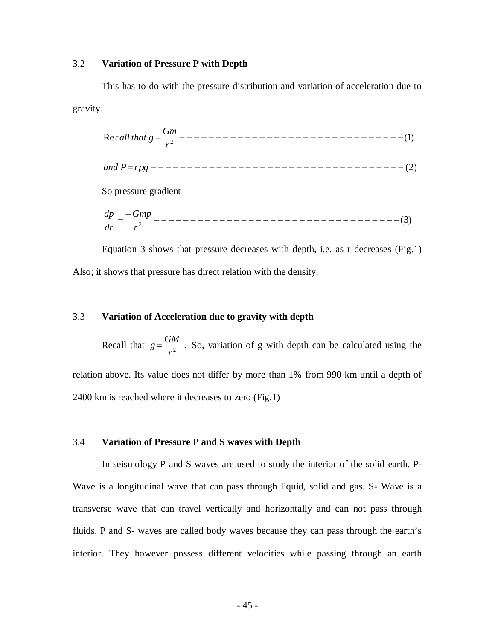#### 3.2 **Variation of Pressure P with Depth**

This has to do with the pressure distribution and variation of acceleration due to gravity.

Re (1) 2 *r Gm call that <sup>g</sup> and Prg* (2) So pressure gradient

(3) 2 *r Gmp dr dp*

Equation 3 shows that pressure decreases with depth, i.e. as r decreases (Fig.1) Also; it shows that pressure has direct relation with the density.

# 3.3 **Variation of Acceleration due to gravity with depth**

Recall that  $g = \frac{GM}{r^2}$ .  $g = \frac{GM}{r^2}$ . So, variation of g with depth can be calculated using the relation above. Its value does not differ by more than 1% from 990 km until a depth of 2400 km is reached where it decreases to zero (Fig.1)

# 3.4 **Variation of Pressure P and S waves with Depth**

In seismology P and S waves are used to study the interior of the solid earth. P-Wave is a longitudinal wave that can pass through liquid, solid and gas. S- Wave is a transverse wave that can travel vertically and horizontally and can not pass through fluids. P and S- waves are called body waves because they can pass through the earth's interior. They however possess different velocities while passing through an earth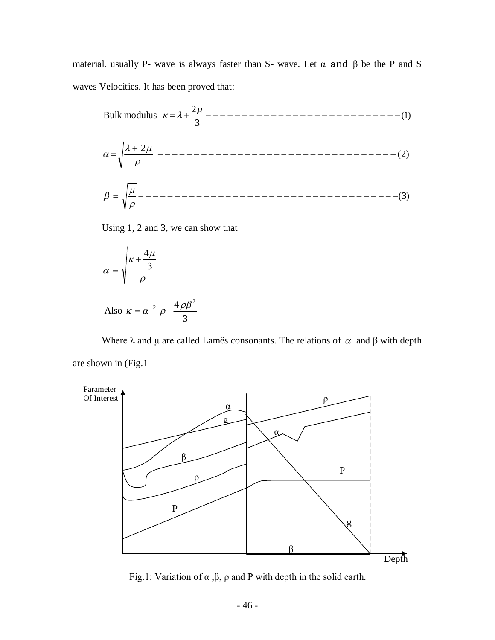material. usually P- wave is always faster than S- wave. Let  $\alpha$  and  $\beta$  be the P and S waves Velocities. It has been proved that:

(1) 3 2 Bulk modulus (2) 2 (3) 

Using 1, 2 and 3, we can show that

$$
\alpha = \sqrt{\frac{\kappa + \frac{4\mu}{3}}{\rho}}
$$

Also 
$$
\kappa = \alpha^2 \rho - \frac{4 \rho \beta^2}{3}
$$

Where  $\lambda$  and  $\mu$  are called Lamês consonants. The relations of  $\alpha$  and  $\beta$  with depth are shown in (Fig.1



Fig.1: Variation of  $\alpha$ ,  $\beta$ ,  $\rho$  and P with depth in the solid earth.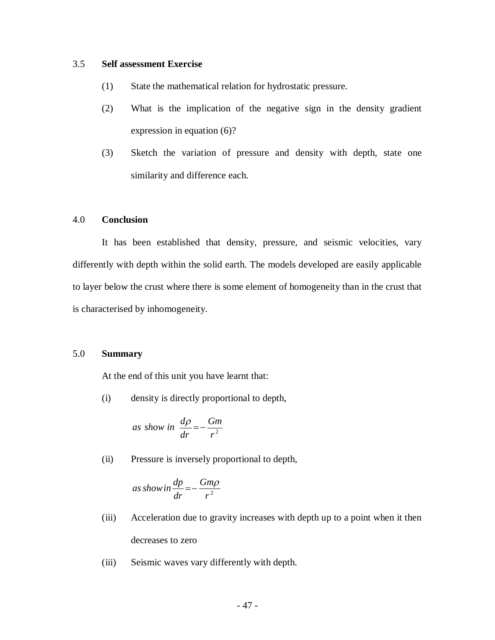### 3.5 **Self assessment Exercise**

- (1) State the mathematical relation for hydrostatic pressure.
- (2) What is the implication of the negative sign in the density gradient expression in equation (6)?
- (3) Sketch the variation of pressure and density with depth, state one similarity and difference each.

# 4.0 **Conclusion**

It has been established that density, pressure, and seismic velocities, vary differently with depth within the solid earth. The models developed are easily applicable to layer below the crust where there is some element of homogeneity than in the crust that is characterised by inhomogeneity.

### 5.0 **Summary**

At the end of this unit you have learnt that:

(i) density is directly proportional to depth,

as show in 
$$
\frac{d\rho}{dr} = -\frac{Gm}{r^2}
$$

(ii) Pressure is inversely proportional to depth,

as show in 
$$
\frac{dp}{dr} = -\frac{Gm\rho}{r^2}
$$

- (iii) Acceleration due to gravity increases with depth up to a point when it then decreases to zero
- (iii) Seismic waves vary differently with depth.